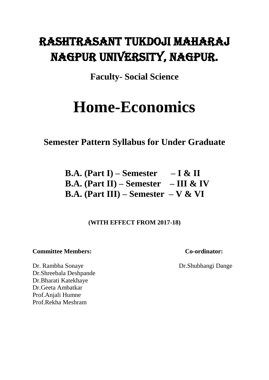# Rashtrasant Tukdoji Maharaj Nagpur University, Nagpur.

**Faculty- Social Science**

# **Home-Economics**

**Semester Pattern Syllabus for Under Graduate**

**B.A. (Part I) – Semester – I & II B.A. (Part II) – Semester – III & IV B.A. (Part III) – Semester – V & VI**

**(WITH EFFECT FROM 2017-18)**

### **Committee Members: Co-ordinator:**

Dr. Rambha Sonaye Dr. Shubhangi Dange Dr.Shreebala Deshpande Dr.Bharati Katekhaye Dr.Geeta Ambatkar Prof.Anjali Humne Prof.Rekha Meshram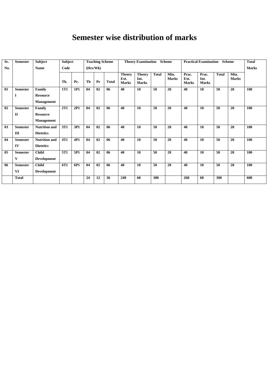# **Semester wise distribution of marks**

| Sr. | <b>Semester</b> | Subject              | Subject    |     |    |          | <b>Teaching Scheme</b> | <b>Theory Examination</b><br><b>Scheme</b> |                                       |              | <b>Practical Examination</b><br><b>Scheme</b> |                               |                               | <b>Total</b> |                      |     |
|-----|-----------------|----------------------|------------|-----|----|----------|------------------------|--------------------------------------------|---------------------------------------|--------------|-----------------------------------------------|-------------------------------|-------------------------------|--------------|----------------------|-----|
| No. |                 | <b>Name</b>          | Code       |     |    | (Hrs/Wk) |                        |                                            |                                       |              |                                               |                               |                               | <b>Marks</b> |                      |     |
|     |                 |                      | Th.        | Pr. | Th | Pr       | <b>Total</b>           | <b>Theory</b><br>Ext.<br><b>Marks</b>      | <b>Theory</b><br>Int.<br><b>Marks</b> | <b>Total</b> | Min.<br><b>Marks</b>                          | Prac.<br>Ext.<br><b>Marks</b> | Prac.<br>Int.<br><b>Marks</b> | <b>Total</b> | Min.<br><b>Marks</b> |     |
| 01  | <b>Semester</b> | Family               | 1T1        | 1P1 | 04 | 02       | 06                     | 40                                         | 10                                    | 50           | 20                                            | 40                            | 10                            | 50           | 20                   | 100 |
|     | 1               | <b>Resource</b>      |            |     |    |          |                        |                                            |                                       |              |                                               |                               |                               |              |                      |     |
|     |                 | <b>Management</b>    |            |     |    |          |                        |                                            |                                       |              |                                               |                               |                               |              |                      |     |
| 02  | <b>Semester</b> | Family               | <b>2T1</b> | 2P1 | 04 | 02       | 06                     | 40                                         | 10                                    | 50           | 20                                            | 40                            | 10                            | 50           | 20                   | 100 |
|     | П               | <b>Resource</b>      |            |     |    |          |                        |                                            |                                       |              |                                               |                               |                               |              |                      |     |
|     |                 | <b>Management</b>    |            |     |    |          |                        |                                            |                                       |              |                                               |                               |                               |              |                      |     |
| 03  | <b>Semester</b> | <b>Nutrition and</b> | 3T1        | 3P1 | 04 | 02       | 06                     | 40                                         | 10                                    | 50           | 20                                            | 40                            | 10                            | 50           | 20                   | 100 |
|     | Ш               | <b>Dietetics</b>     |            |     |    |          |                        |                                            |                                       |              |                                               |                               |                               |              |                      |     |
| 04  | <b>Semester</b> | <b>Nutrition and</b> | 4T1        | 4P1 | 04 | 02       | 06                     | 40                                         | 10                                    | 50           | 20                                            | 40                            | 10                            | 50           | 20                   | 100 |
|     | IV              | <b>Dietetics</b>     |            |     |    |          |                        |                                            |                                       |              |                                               |                               |                               |              |                      |     |
| 05  | <b>Semester</b> | <b>Child</b>         | 5T1        | 5P1 | 04 | 02       | 06                     | 40                                         | 10                                    | 50           | 20                                            | 40                            | 10                            | 50           | 20                   | 100 |
|     | V               | <b>Development</b>   |            |     |    |          |                        |                                            |                                       |              |                                               |                               |                               |              |                      |     |
| 06  | <b>Semester</b> | <b>Child</b>         | 6T1        | 6P1 | 04 | 02       | 06                     | 40                                         | 10                                    | 50           | 20                                            | 40                            | 10                            | 50           | 20                   | 100 |
|     | VI              | <b>Development</b>   |            |     |    |          |                        |                                            |                                       |              |                                               |                               |                               |              |                      |     |
|     | <b>Total</b>    |                      |            |     | 24 | 12       | 36                     | 240                                        | 60                                    | 300          |                                               | 260                           | 60                            | 300          |                      | 600 |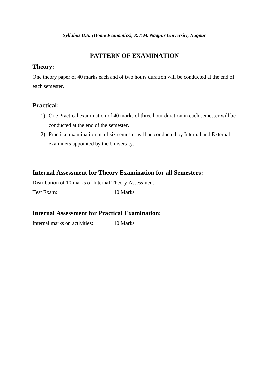### **PATTERN OF EXAMINATION**

### **Theory:**

One theory paper of 40 marks each and of two hours duration will be conducted at the end of each semester.

### **Practical:**

- 1) One Practical examination of 40 marks of three hour duration in each semester will be conducted at the end of the semester.
- 2) Practical examination in all six semester will be conducted by Internal and External examiners appointed by the University.

### **Internal Assessment for Theory Examination for all Semesters:**

Distribution of 10 marks of Internal Theory Assessment-Test Exam: 10 Marks

### **Internal Assessment for Practical Examination:**

Internal marks on activities: 10 Marks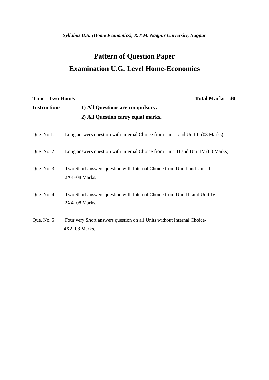*Syllabus B.A. (Home Economics), R.T.M. Nagpur University, Nagpur*

# **Pattern of Question Paper Examination U.G. Level Home-Economics**

# **Time –Two Hours Total Marks – 40 Instructions – 1) All Questions are compulsory. 2) All Question carry equal marks.** Que. No.1. Long answers question with Internal Choice from Unit I and Unit II (08 Marks) Que. No. 2. Long answers question with Internal Choice from Unit III and Unit IV (08 Marks) Que. No. 3. Two Short answers question with Internal Choice from Unit I and Unit II 2X4=08 Marks. Que. No. 4. Two Short answers question with Internal Choice from Unit III and Unit IV 2X4=08 Marks. Que. No. 5. Four very Short answers question on all Units without Internal Choice- 4X2=08 Marks.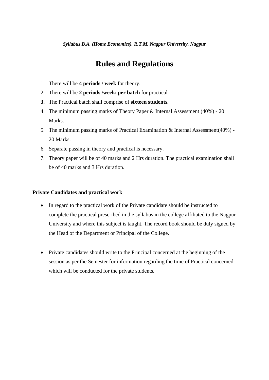# **Rules and Regulations**

- 1. There will be **4 periods / week** for theory.
- 2. There will be **2 periods /week**/ **per batch** for practical
- **3.** The Practical batch shall comprise of **sixteen students.**
- 4. The minimum passing marks of Theory Paper & Internal Assessment (40%) 20 Marks.
- 5. The minimum passing marks of Practical Examination & Internal Assessment(40%) 20 Marks.
- 6. Separate passing in theory and practical is necessary.
- 7. Theory paper will be of 40 marks and 2 Hrs duration. The practical examination shall be of 40 marks and 3 Hrs duration.

#### **Private Candidates and practical work**

- In regard to the practical work of the Private candidate should be instructed to complete the practical prescribed in the syllabus in the college affiliated to the Nagpur University and where this subject is taught. The record book should be duly signed by the Head of the Department or Principal of the College.
- Private candidates should write to the Principal concerned at the beginning of the session as per the Semester for information regarding the time of Practical concerned which will be conducted for the private students.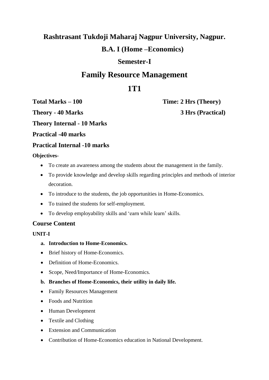# **Rashtrasant Tukdoji Maharaj Nagpur University, Nagpur. B.A. I (Home –Economics)**

# **Semester-I**

# **Family Resource Management**

# **1T1**

**Theory - 40 Marks 3 Hrs (Practical)** 

**Total Marks – 100 Time: 2 Hrs (Theory)** 

**Theory Internal - 10 Marks**

**Practical -40 marks**

### **Practical Internal -10 marks**

### **Objectives-**

- To create an awareness among the students about the management in the family.
- To provide knowledge and develop skills regarding principles and methods of interior decoration.
- To introduce to the students, the job opportunities in Home-Economics.
- To trained the students for self-employment.
- To develop employability skills and 'earn while learn' skills.

### **Course Content**

### **UNIT-I**

- **a. Introduction to Home-Economics.**
- Brief history of Home-Economics.
- Definition of Home-Economics.
- Scope, Need/Importance of Home-Economics.
- **b. Branches of Home-Economics, their utility in daily life.**
- Family Resources Management
- Foods and Nutrition
- Human Development
- Textile and Clothing
- Extension and Communication
- Contribution of Home-Economics education in National Development.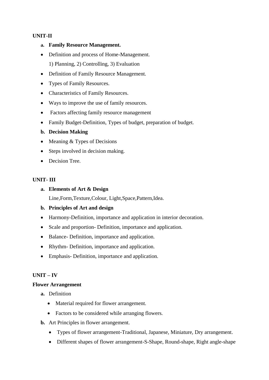### **UNIT-II**

- **a. Family Resource Management.**
- Definition and process of Home-Management. 1) Planning, 2) Controlling, 3) Evaluation
- Definition of Family Resource Management.
- Types of Family Resources.
- Characteristics of Family Resources.
- Ways to improve the use of family resources.
- Factors affecting family resource management
- Family Budget-Definition, Types of budget, preparation of budget.
- **b. Decision Making**
- $\bullet$  Meaning & Types of Decisions
- Steps involved in decision making.
- Decision Tree.

### **UNIT- III**

### **a. Elements of Art & Design**

Line,Form,Texture,Colour, Light,Space,Pattern,Idea.

### **b. Principles of Art and design**

- Harmony-Definition, importance and application in interior decoration.
- Scale and proportion- Definition, importance and application.
- Balance- Definition, importance and application.
- Rhythm- Definition, importance and application.
- Emphasis- Definition, importance and application.

### **UNIT – IV**

#### **Flower Arrangement**

- **a.** Definition
	- Material required for flower arrangement.
	- Factors to be considered while arranging flowers.
- **b.** Art Principles in flower arrangement.
	- Types of flower arrangement-Traditional, Japanese, Miniature, Dry arrangement.
	- Different shapes of flower arrangement-S-Shape, Round-shape, Right angle-shape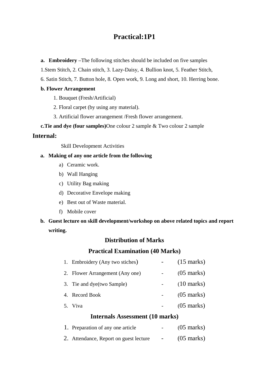## **Practical:1P1**

**a. Embroidery –**The following stitches should be included on five samples

1.Stem Stitch, 2. Chain stitch, 3. Lazy-Daisy, 4. Bullion knot, 5. Feather Stitch,

6. Satin Stitch, 7. Button hole, 8. Open work, 9. Long and short, 10. Herring bone.

#### **b. Flower Arrangement**

1. Bouquet (Fresh/Artificial)

- 2. Floral carpet (by using any material).
- 3. Artificial flower arrangement /Fresh flower arrangement.

 **c.Tie and dye (four samples)**One colour 2 sample & Two colour 2 sample

### **Internal:**

Skill Development Activities

### **a. Making of any one article from the following**

- a) Ceramic work.
- b) Wall Hanging
- c) Utility Bag making
- d) Decorative Envelope making
- e) Best out of Waste material.
- f) Mobile cover
- **b. Guest lecture on skill development/workshop on above related topics and report writing.**

### **Distribution of Marks**

### **Practical Examination (40 Marks)**

| $\mathbf{I}$ and $\mathbf{I}$ and $\mathbf{I}$ and $\mathbf{I}$ and $\mathbf{I}$ and $\mathbf{I}$ and $\mathbf{I}$ and $\mathbf{I}$ and $\mathbf{I}$ and $\mathbf{I}$ and $\mathbf{I}$ and $\mathbf{I}$ and $\mathbf{I}$ and $\mathbf{I}$ and $\mathbf{I}$ and $\mathbf{I}$ and $\mathbf{I}$ and |  |                      |  |  |
|--------------------------------------------------------------------------------------------------------------------------------------------------------------------------------------------------------------------------------------------------------------------------------------------------|--|----------------------|--|--|
| 5. Viva                                                                                                                                                                                                                                                                                          |  | $(05 \text{ marks})$ |  |  |
| 4. Record Book                                                                                                                                                                                                                                                                                   |  | $(05 \text{ marks})$ |  |  |
| 3. Tie and dye(two Sample)                                                                                                                                                                                                                                                                       |  | $(10 \text{ marks})$ |  |  |
| 2. Flower Arrangement (Any one)                                                                                                                                                                                                                                                                  |  | $(05 \text{ marks})$ |  |  |
| 1. Embroidery (Any two stiches)                                                                                                                                                                                                                                                                  |  | $(15 \text{ marks})$ |  |  |

### **Internals Assessment (10 marks)**

| 1. Preparation of any one article      | $\sim$ $\sim$ | $(05 \text{ marks})$ |
|----------------------------------------|---------------|----------------------|
| 2. Attendance, Report on guest lecture | $\sim$        | $(05 \text{ marks})$ |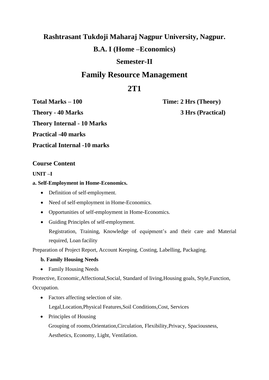# **Rashtrasant Tukdoji Maharaj Nagpur University, Nagpur.**

# **B.A. I (Home –Economics)**

## **Semester-II**

# **Family Resource Management**

# **2T1**

**Theory - 40 Marks 3 Hrs (Practical)** 

**Total Marks – 100 Time: 2 Hrs (Theory)** 

**Theory Internal - 10 Marks**

**Practical -40 marks**

**Practical Internal -10 marks**

### **Course Content**

### **UNIT –I**

### **a. Self-Employment in Home-Economics.**

- Definition of self-employment.
- Need of self-employment in Home-Economics.
- Opportunities of self-employment in Home-Economics.
- Guiding Principles of self-employment.

Registration, Training, Knowledge of equipment's and their care and Material required, Loan facility

Preparation of Project Report, Account Keeping, Costing, Labelling, Packaging.

### **b. Family Housing Needs**

• Family Housing Needs

Protective, Economic,Affectional,Social, Standard of living,Housing goals, Style,Function,

Occupation.

- Factors affecting selection of site. Legal,Location,Physical Features,Soil Conditions,Cost, Services
- Principles of Housing Grouping of rooms,Orientation,Circulation, Flexibility,Privacy, Spaciousness, Aesthetics, Economy, Light, Ventilation.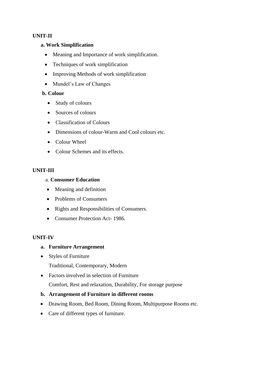### **UNIT-II**

#### **a. Work Simplification**

- Meaning and Importance of work simplification.
- Techniques of work simplification
- Improving Methods of work simplification
- Mundel's Law of Changes

### **b. Colour**

- Study of colours
- Sources of colours
- Classification of Colours
- Dimensions of colour-Warm and Cool colours etc.
- Colour Wheel
- Colour Schemes and its effects.

### **UNIT-III**

### a. **Consumer Education**

- Meaning and definition
- Problems of Consumers
- Rights and Responsibilities of Consumers.
- Consumer Protection Act- 1986.

#### **UNIT-IV**

### **a. Furniture Arrangement**

• Styles of Furniture

Traditional, Contemporary, Modern

• Factors involved in selection of Furniture

Comfort, Rest and relaxation, Durability, For storage purpose

### **b. Arrangement of Furniture in different rooms**

- Drawing Room, Bed Room, Dining Room, Multipurpose Rooms etc.
- Care of different types of furniture.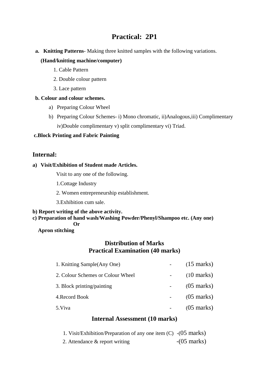# **Practical: 2P1**

**a. Knitting Patterns**- Making three knitted samples with the following variations.

### **(Hand/knitting machine/computer)**

- 1. Cable Pattern
- 2. Double colour pattern
- 3. Lace pattern

### **b. Colour and colour schemes.**

- a) Preparing Colour Wheel
- b) Preparing Colour Schemes- i) Mono chromatic, ii)Analogous,iii) Complimentary iv)Double complimentary v) split complimentary vi) Triad.

### **c.Block Printing and Fabric Painting**

### **Internal:**

### **a) Visit/Exhibition of Student made Articles.**

Visit to any one of the following.

- 1.Cottage Industry
- 2. Women entrepreneurship establishment.
- 3.Exhibition cum sale.

### **b) Report writing of the above activity.**

#### **c) Preparation of hand wash/Washing Powder/Phenyl/Shampoo etc. (Any one) Or**

### **Apron stitching**

### **Distribution of Marks Practical Examination (40 marks)**

| 1. Knitting Sample (Any One)      | $(15 \text{ marks})$ |
|-----------------------------------|----------------------|
| 2. Colour Schemes or Colour Wheel | $(10 \text{ marks})$ |
| 3. Block printing/painting        | $(05 \text{ marks})$ |
| 4. Record Book                    | $(05 \text{ marks})$ |
| 5. Viva                           | $(05 \text{ marks})$ |

### **Internal Assessment (10 marks)**

| 1. Visit/Exhibition/Preparation of any one item $(C)$ - $(05 \text{ marks})$ |                       |
|------------------------------------------------------------------------------|-----------------------|
| 2. Attendance & report writing                                               | $-(05 \text{ marks})$ |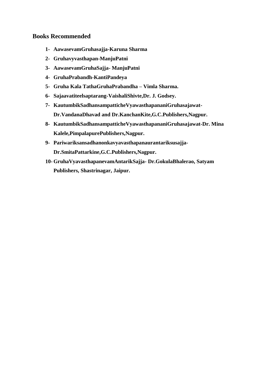### **Books Recommended**

- **1- AawasevamGruhasajja-Karuna Sharma**
- **2- Gruhavyvasthapan-ManjuPatni**
- **3- AawasevamGruhaSajja- ManjuPatni**
- **4- GruhaPrabandh-KantiPandeya**
- **5- Gruha Kala TathaGruhaPrabandha – Vimla Sharma.**
- **6- Sajaavatiteelsaptarang-VaishaliShivte,Dr. J. Godsey.**
- **7- KautumbikSadhansampatticheVyawasthapananiGruhasajawat-Dr.VandanaDhavad and Dr.KanchanKite,G.C.Publishers,Nagpur.**
- **8- KautumbikSadhansampatticheVyawasthapananiGruhasajawat-Dr. Mina Kalele,PimpalapurePublishers,Nagpur.**
- **9- Pariwariksansadhanonkavyavasthapanaurantariksusajja-Dr.SmitaPattarkine,G.C.Publishers,Nagpur.**
- **10- GruhaVyavasthapanevamAntarikSajja- Dr.GokulaBhalerao, Satyam Publishers, Shastrinagar, Jaipur.**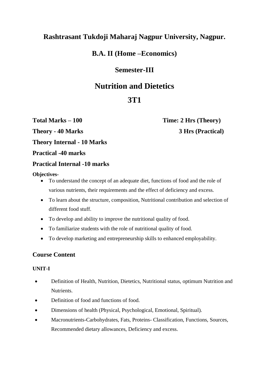# **Rashtrasant Tukdoji Maharaj Nagpur University, Nagpur.**

## **B.A. II (Home –Economics)**

## **Semester-III**

# **Nutrition and Dietetics**

# **3T1**

**Total Marks – 100 Time: 2 Hrs (Theory) Theory - 40 Marks 3 Hrs (Practical)** 

**Theory Internal - 10 Marks**

**Practical -40 marks**

### **Practical Internal -10 marks**

### **Objectives-**

- To understand the concept of an adequate diet, functions of food and the role of various nutrients, their requirements and the effect of deficiency and excess.
- To learn about the structure, composition, Nutritional contribution and selection of different food stuff.
- To develop and ability to improve the nutritional quality of food.
- To familiarize students with the role of nutritional quality of food.
- To develop marketing and entrepreneurship skills to enhanced employability.

### **Course Content**

### **UNIT-I**

- Definition of Health, Nutrition, Dietetics, Nutritional status, optimum Nutrition and **Nutrients**
- Definition of food and functions of food.
- Dimensions of health (Physical, Psychological, Emotional, Spiritual).
- Macronutrients-Carbohydrates, Fats, Proteins- Classification, Functions, Sources, Recommended dietary allowances, Deficiency and excess.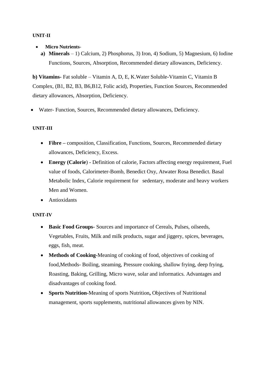#### **UNIT-II**

- **Micro Nutrients**
	- **a) Minerals** 1) Calcium, 2) Phosphorus, 3) Iron, 4) Sodium, 5) Magnesium, 6) Iodine Functions, Sources, Absorption, Recommended dietary allowances, Deficiency.

**b) Vitamins-** Fat soluble – Vitamin A, D, E, K.Water Soluble-Vitamin C, Vitamin B Complex, (B1, B2, B3, B6,B12, Folic acid), Properties, Function Sources, Recommended dietary allowances, Absorption, Deficiency.

Water- Function, Sources, Recommended dietary allowances, Deficiency.

### **UNIT-III**

- **Fibre –** composition, Classification, Functions, Sources, Recommended dietary allowances, Deficiency, Excess.
- **Energy (Calorie)** Definition of calorie, Factors affecting energy requirement, Fuel value of foods, Calorimeter-Bomb, Benedict Oxy, Atwater Rosa Benedict. Basal Metabolic Index, Calorie requirement for sedentary, moderate and heavy workers Men and Women.
- Antioxidants

#### **UNIT-IV**

- **Basic Food Groups-** Sources and importance of Cereals, Pulses, oilseeds, Vegetables, Fruits, Milk and milk products, sugar and jiggery, spices, beverages, eggs, fish, meat.
- **Methods of Cooking-**Meaning of cooking of food, objectives of cooking of food,Methods- Boiling, steaming, Pressure cooking, shallow frying, deep frying, Roasting, Baking, Grilling, Micro wave, solar and informatics. Advantages and disadvantages of cooking food.
- **Sports Nutrition-**Meaning of sports Nutrition**,** Objectives of Nutritional management, sports supplements, nutritional allowances given by NIN.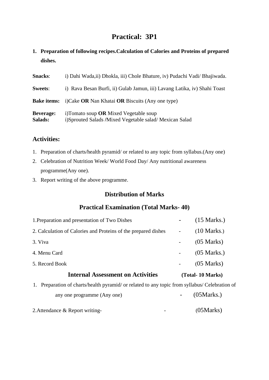# **Practical: 3P1**

**1. Preparation of following recipes.Calculation of Calories and Proteins of prepared dishes.**

| <b>Snacks:</b>              | i) Dahi Wada,ii) Dhokla, iii) Chole Bhature, iv) Pudachi Vadi/ Bhajiwada.                          |
|-----------------------------|----------------------------------------------------------------------------------------------------|
| <b>Sweets:</b>              | i) Rava Besan Burfi, ii) Gulab Jamun, iii) Lavang Latika, iv) Shahi Toast                          |
| <b>Bake items:</b>          | i)Cake OR Nan Khatai OR Biscuits (Any one type)                                                    |
| <b>Beverage:</b><br>Salads: | i)Tomato soup $OR$ Mixed Vegetable soup<br>i)Sprouted Salads /Mixed Vegetable salad/ Mexican Salad |

### **Activities:**

- 1. Preparation of charts/health pyramid/ or related to any topic from syllabus.(Any one)
- 2. Celebration of Nutrition Week/ World Food Day/ Any nutritional awareness programme(Any one).
- 3. Report writing of the above programme.

### **Distribution of Marks**

### **Practical Examination (Total Marks- 40)**

| 1. Preparation and presentation of Two Dishes                                                     |   | $(15 \text{ Marks.})$ |
|---------------------------------------------------------------------------------------------------|---|-----------------------|
| 2. Calculation of Calories and Proteins of the prepared dishes                                    |   | $(10 \text{ Marks.})$ |
| 3. Viva                                                                                           |   | $(05 \text{ Marks})$  |
| 4. Menu Card                                                                                      |   | $(05 \text{ Marks.})$ |
| 5. Record Book                                                                                    |   | $(05 \text{ Marks})$  |
| <b>Internal Assessment on Activities</b>                                                          |   | (Total-10 Marks)      |
| Preparation of charts/health pyramid/ or related to any topic from syllabus/ Celebration of<br>1. |   |                       |
| any one programme (Any one)                                                                       | ۰ | (05Marks.)            |
|                                                                                                   |   |                       |

2. Attendance & Report writing-<br>  $(05Marks)$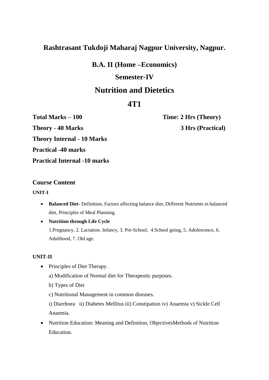## **Rashtrasant Tukdoji Maharaj Nagpur University, Nagpur.**

**B.A. II (Home –Economics)**

### **Semester-IV**

# **Nutrition and Dietetics**

# **4T1**

**Theory - 40 Marks 3 Hrs (Practical) Theory Internal - 10 Marks Practical -40 marks Practical Internal -10 marks**

**Total Marks – 100 Time: 2 Hrs (Theory)** 

### **Course Content**

**UNIT-I**

- **Balanced Diet-** Definition, Factors affecting balance diet, Different Nutrients in balanced diet, Principles of Meal Planning.
- **Nutrition through Life Cycle**

1.Pregnancy, 2. Lactation. Infancy, 3. Pre-School, 4.School going, 5. Adolescence, 6. Adulthood, 7. Old age.

### **UNIT-II**

• Principles of Diet Therapy.

a) Modification of Normal diet for Therapeutic purposes.

b) Types of Diet

c) Nutritional Management in common diseases.

i) Diarrhoea ii) Diabetes Mellitus iii) Constipation iv) Anaemia v) Sickle Cell Anaemia.

• Nutrition Education: Meaning and Definition, ObjectivesMethods of Nutrition Education.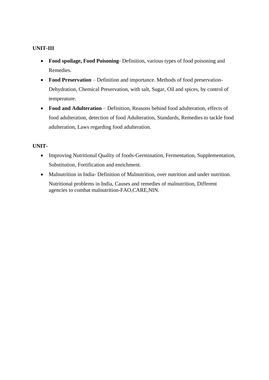### **UNIT-III**

- **Food spoilage, Food Poisoning** Definition, various types of food poisoning and Remedies.
- **Food Preservation** Definition and importance. Methods of food preservation-Dehydration, Chemical Preservation, with salt, Sugar, Oil and spices, by control of temperature.
- **Food and Adulteration** Definition, Reasons behind food adulteration, effects of food adulteration, detection of food Adulteration, Standards, Remedies to tackle food adulteration, Laws regarding food adulteration.

### **UNIT-**

- Improving Nutritional Quality of foods-Germination, Fermentation, Supplementation, Substitution, Fortification and enrichment.
- Malnutrition in India- Definition of Malnutrition, over nutrition and under nutrition. Nutritional problems in India, Causes and remedies of malnutrition, Different agencies to combat malnutrition-FAO,CARE,NIN.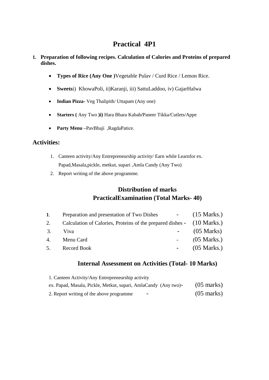# **Practical 4P1**

### **1. Preparation of following recipes. Calculation of Calories and Proteins of prepared dishes.**

- **Types of Rice (Any One )**Vegetable Pulav / Curd Rice / Lemon Rice.
- **Sweets**i) KhowaPoli, ii)Karanji, iii) SattuLaddoo, iv) GajarHalwa
- **Indian Pizza-** Veg Thalipith/ Uttapam (Any one)
- **Starters (** Any Two **)i)** Hara Bhara Kabab**/**Paneer Tikka/Cutlets/Appe
- **Party Menu –**PavBhaji ,RagdaPatice.

### **Activities:**

- 1. Canteen activity/Any Entrepreneurship activity/ Earn while Learnfor ex. Papad,Masala,pickle, metkut, supari ,Amla Candy (Any Two)
- 2. Report writing of the above programme.

### **Distribution of marks PracticalExamination (Total Marks- 40)**

| 1. | Preparation and presentation of Two Dishes -                           | $(15 \text{ Marks.})$ |
|----|------------------------------------------------------------------------|-----------------------|
| 2. | Calculation of Calories, Proteins of the prepared dishes - (10 Marks.) |                       |
| 3. | Viva                                                                   | $(05 \text{ Marks})$  |
| 4. | Menu Card                                                              | $(05 \text{ Marks.})$ |
|    | 5. Record Book                                                         | $(05 \text{ Marks.})$ |

### **Internal Assessment on Activities (Total- 10 Marks)**

| 1. Canteen Activity/Any Entrepreneurship activity               |                      |
|-----------------------------------------------------------------|----------------------|
| ex. Papad, Masala, Pickle, Metkut, supari, AmlaCandy (Any two)- | $(05 \text{ marks})$ |
| 2. Report writing of the above programme<br>-                   | $(05 \text{ marks})$ |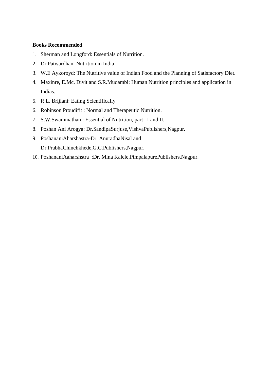#### **Books Recommended**

- 1. Sherman and Longford: Essentials of Nutrition.
- 2. Dr.Patwardhan: Nutrition in India
- 3. W.E Aykoroyd: The Nutritive value of Indian Food and the Planning of Satisfactory Diet.
- 4. Maxinre, E.Mc. Divit and S.R.Mudambi: Human Nutrition principles and application in Indias.
- 5. R.L. Brijlani: Eating Scientifically
- 6. Robinson Proudifit : Normal and Therapeutic Nutrition.
- 7. S.W.Swaminathan : Essential of Nutrition, part –I and II.
- 8. Poshan Ani Arogya: Dr.SandipaSurjuse,VishvaPublishers,Nagpur.
- 9. PoshananiAharshastra-Dr. AnuradhaNisal and Dr.PrabhaChinchkhede,G.C.Publishers,Nagpur.
- 10. PoshananiAaharshstra :Dr. Mina Kalele,PimpalapurePublishers,Nagpur.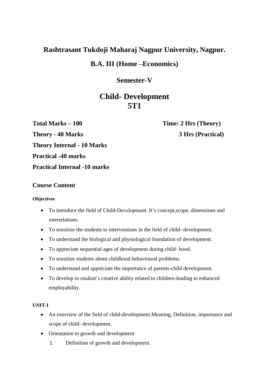## **Rashtrasant Tukdoji Maharaj Nagpur University, Nagpur.**

### **B.A. III (Home –Economics)**

### **Semester-V**

# **Child- Development 5T1**

**Total Marks – 100 Time: 2 Hrs (Theory) Theory - 40 Marks 3 Hrs (Practical) Theory Internal - 10 Marks Practical -40 marks Practical Internal -10 marks**

### **Course Content**

### **Objectives**

- To introduce the field of Child-Development. It's concept,scope, dimensions and interrelations.
- To sensitize the students to interventions in the field of child- development.
- To understand the biological and physiological foundation of development.
- To appreciate sequential ages of development during child- hood.
- To sensitize students about childhood behavioural problems.
- To understand and appreciate the importance of parents-child development.
- To develop in student's creative ability related to children-leading to enhanced employability.

### **UNIT-I**

- An overview of the field of child-development.Meaning, Definition, importance and scope of child- development.
- Orientation to growth and development
	- 1. Definition of growth and development.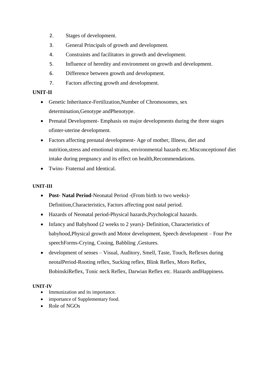- 2. Stages of development.
- 3. General Principals of growth and development.
- 4. Constraints and facilitators in growth and development.
- 5. Influence of heredity and environment on growth and development.
- 6. Difference between growth and development.
- 7. Factors affecting growth and development.

### **UNIT-II**

- Genetic Inheritance-Fertilization,Number of Chromosomes, sex determination,Genotype andPhenotype.
- Prenatal Development- Emphasis on major developments during the three stages ofinter-uterine development.
- Factors affecting prenatal development- Age of mother, Illness, diet and nutrition,stress and emotional strains, environmental hazards etc.Misconceptionof diet intake during pregnancy and its effect on health,Recommendations.
- Twins- Fraternal and Identical.

### **UNIT-III**

- **Post- Natal Period**-Neonatal Period -(From birth to two weeks)- Definition,Characteristics, Factors affecting post natal period.
- Hazards of Neonatal period-Physical hazards,Psychological hazards.
- Infancy and Babyhood (2 weeks to 2 years)- Definition, Characteristics of babyhood,Physical growth and Motor development, Speech development – Four Pre speechForms-Crying, Cooing, Babbling ,Gestures.
- development of senses Visual, Auditory, Smell, Taste, Touch, Reflexes during neotalPeriod-Rooting reflex, Sucking reflex, Blink Reflex, Moro Reflex, BobinskiReflex, Tonic neck Reflex, Darwian Reflex etc. Hazards andHappiness.

### **UNIT-IV**

- Immunization and its importance.
- importance of Supplementary food.
- Role of NGOs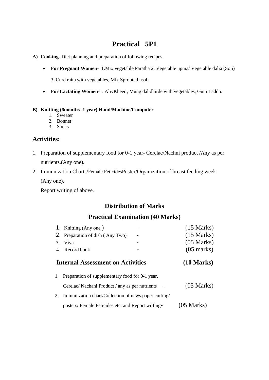# **Practical 5P1**

- **A) Cooking-** Diet planning and preparation of following recipes.
	- **For Pregnant Women** 1.Mix vegetable Paratha 2. Vegetable upma/ Vegetable dalia (Soji)

3. Curd raita with vegetables, Mix Sprouted usal .

**For Lactating Women-**1. AlivKheer , Mung dal dhirde with vegetables, Gum Laddo.

#### **B) Knitting (6months- 1 year) Hand/Machine/Computer**

- 1. Sweater
- 2. Bonnet
- 3. Socks

### **Activities:**

- 1. Preparation of supplementary food for 0-1 year- Cerelac/Nachni product /Any as per nutrients.(Any one).
- 2. Immunization Charts/Female FeticidesPoster/Organization of breast feeding week

(Any one).

Report writing of above.

### **Distribution of Marks**

### **Practical Examination (40 Marks)**

|    | 1. Knitting (Any one)                                   | $(15 \text{ Marks})$ |
|----|---------------------------------------------------------|----------------------|
|    | 2. Preparation of dish (Any Two)                        | $(15 \text{ Marks})$ |
| 3. | <b>Viva</b>                                             | $(05 \text{ Marks})$ |
| 4. | Record book                                             | $(05 \text{ marks})$ |
|    | <b>Internal Assessment on Activities-</b>               | $(10 \text{ Marks})$ |
| 1. | Preparation of supplementary food for 0-1 year.         |                      |
|    | Cerelac/ Nachani Product / any as per nutrients         | $(05 \text{ Marks})$ |
|    | 2. Immunization chart/Collection of news paper cutting/ |                      |
|    | posters/Female Feticides etc. and Report writing-       | $(05 \text{ Marks})$ |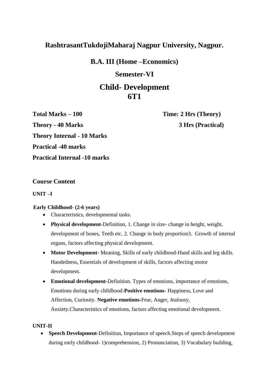# **RashtrasantTukdojiMaharaj Nagpur University, Nagpur.**

**B.A. III (Home –Economics)**

### **Semester-VI**

# **Child- Development 6T1**

**Total Marks – 100 Time: 2 Hrs (Theory) Theory - 40 Marks 3 Hrs (Practical) Theory Internal - 10 Marks Practical -40 marks Practical Internal -10 marks**

### **Course Content**

### **UNIT –I**

### **Early Childhood- (2-6 years)**

- Characteristics, developmental tasks.
- **Physical development**-Definition, 1. Change in size- change in height, weight, development of bones, Teeth etc. 2. Change in body proportion3. Growth of internal organs, factors affecting physical development.
- **Motor Development-** Meaning, Skills of early childhood-Hand skills and leg skills. Handedness, Essentials of development of skills, factors affecting motor development.
- **Emotional development-**Definition. Types of emotions, importance of emotions, Emotions during early childhood-**Positive emotions-** Happiness, Love and Affection, Curiosity. **Negative emotions-**Fear, Anger, Jealousy, Anxiety.Characteristics of emotions, factors affecting emotional development.

### **UNIT-II**

 **Speech Development**-Definition, Importance of speech.Steps of speech development during early childhood- 1)comprehension, 2) Pronunciation, 3) Vocabulary building,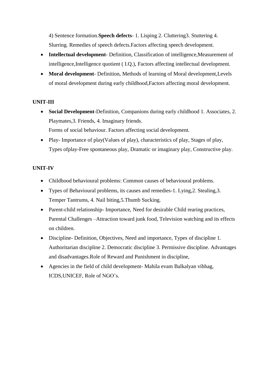4) Sentence formation.**Speech defects**- 1. Lisping 2. Cluttering3. Stuttering 4. Slurring. Remedies of speech defects.Factors affecting speech development.

- **Intellectual development** Definition, Classification of intelligence,Measurement of intelligence,Intelligence quotient ( I.Q.), Factors affecting intellectual development.
- **Moral development** Definition, Methods of learning of Moral development,Levels of moral development during early childhood,Factors affecting moral development.

### **UNIT-III**

- **Social Development**-Definition, Companions during early childhood 1. Associates, 2. Playmates,3. Friends, 4. Imaginary friends. Forms of social behaviour. Factors affecting social development.
- Play- Importance of play(Values of play), characteristics of play, Stages of play, Types ofplay-Free spontaneous play, Dramatic or imaginary play, Constructive play.

### **UNIT-IV**

- Childhood behavioural problems: Common causes of behavioural problems.
- Types of Behavioural problems, its causes and remedies-1. Lying,2. Stealing,3. Temper Tantrums, 4. Nail biting,5.Thumb Sucking.
- Parent-child relationship- Importance, Need for desirable Child rearing practices, Parental Challenges –Attraction toward junk food, Television watching and its effects on children.
- Discipline- Definition, Objectives, Need and importance, Types of discipline 1. Authoritarian discipline 2. Democratic discipline 3. Permissive discipline. Advantages and disadvantages.Role of Reward and Punishment in discipline,
- Agencies in the field of child development- Mahila evam Balkalyan vibhag, ICDS,UNICEF, Role of NGO's.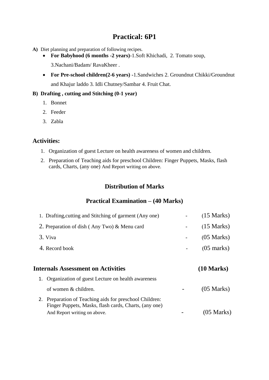# **Practical: 6P1**

- **A)** Diet planning and preparation of following recipes.
	- **For Babyhood (6 months -2 years)**-1.Soft Khichadi, 2. Tomato soup,

3.Nachani/Badam/ RavaKheer .

 **For Pre-school children(2-6 years) -**1.Sandwiches 2. Groundnut Chikki/Groundnut and Khajur laddo 3. Idli Chutney/Sambar 4. Fruit Chat.

### **B) Drafting , cutting and Stitching (0-1 year)**

- 1. Bonnet
- 2. Feeder
- 3. Zabla

### **Activities:**

- 1. Organization of guest Lecture on health awareness of women and children.
- 2. Preparation of Teaching aids for preschool Children: Finger Puppets, Masks, flash cards, Charts, (any one) And Report writing on above.

### **Distribution of Marks**

### **Practical Examination – (40 Marks)**

| 1. Drafting, cutting and Stitching of garment (Any one)                                                          | $(15 \text{ Marks})$ |
|------------------------------------------------------------------------------------------------------------------|----------------------|
| 2. Preparation of dish (Any Two) & Menu card                                                                     | $(15 \text{ Marks})$ |
| 3. Viva                                                                                                          | $(05 \text{ Marks})$ |
| 4. Record book                                                                                                   | $(05 \text{ marks})$ |
| <b>Internals Assessment on Activities</b>                                                                        | $(10 \text{ Marks})$ |
| 1. Organization of guest Lecture on health awareness                                                             |                      |
| of women & children.                                                                                             | $(05 \text{ Marks})$ |
| 2. Preparation of Teaching aids for preschool Children:<br>Finger Puppets, Masks, flash cards, Charts, (any one) |                      |
| And Report writing on above.                                                                                     | $(05 \text{ Marks})$ |